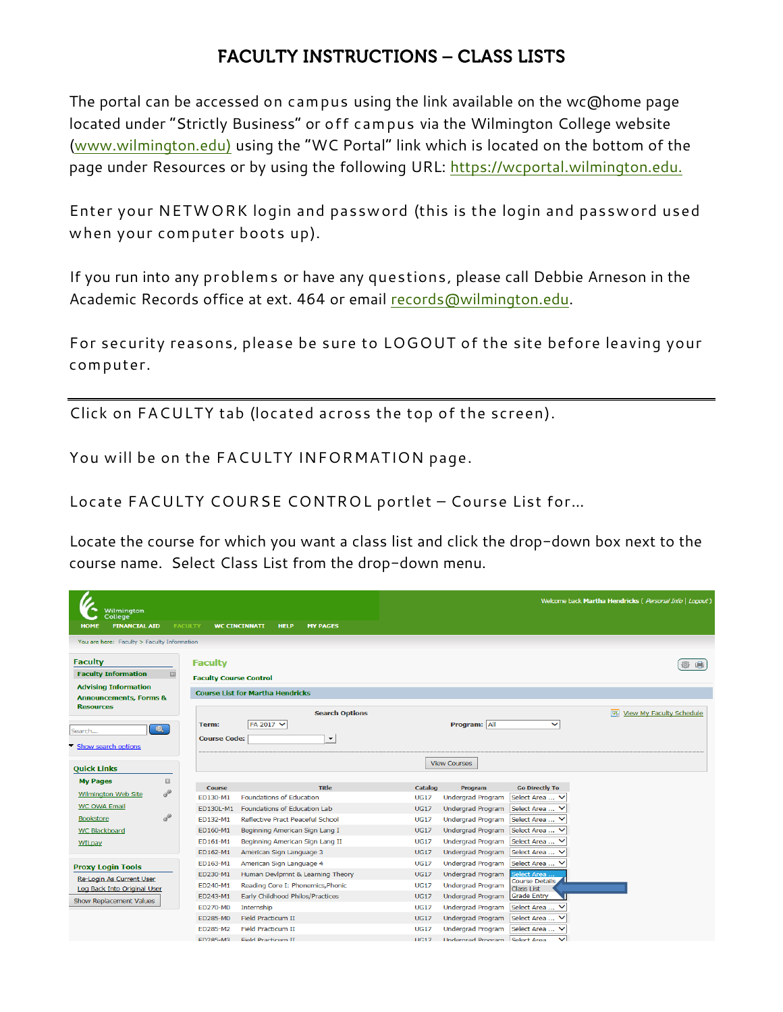## **FACULTY INSTRUCTIONS - CLASS LISTS**

The portal can be accessed on campus using the link available on the wc@home page located under "Strictly Business" or off campus via the Wilmington College website [\(www.wilmington.edu\)](http://www.wilmington.edu/) using the "WC Portal" link which is located on the bottom of the page under Resources or by using the following URL: [https://wcportal.wilmington.edu.](https://wcportal.wilmington.edu/)

Enter your NETWORK login and password (this is the login and password used when your computer boots up).

If you run into any problems or have any questions, please call Debbie Arneson in the Academic Records office at ext. 464 or email [records@wilmington.edu.](mailto:records@wilmington.edu)

For security reasons, please be sure to LOGOUT of the site before leaving your computer.

Click on FACULTY tab (located across the top of the screen).

You will be on the FACULTY INFORMATION page.

Locate FACULTY COURSE CONTROL portlet – Course List for…

Locate the course for which you want a class list and click the drop-down box next to the course name. Select Class List from the drop-down menu.

| Wilmington<br>College<br><b>FINANCIAL AID</b><br><b>HOME</b>                                                                                             | <b>FACULTY</b>                                  | <b>MY PAGES</b><br><b>WC CINCINNATI</b><br><b>HELP</b>     |                |                                      |                                     | Welcome back Martha Hendricks (Personal Info   Logout) |
|----------------------------------------------------------------------------------------------------------------------------------------------------------|-------------------------------------------------|------------------------------------------------------------|----------------|--------------------------------------|-------------------------------------|--------------------------------------------------------|
| You are here: Faculty > Faculty Information                                                                                                              |                                                 |                                                            |                |                                      |                                     |                                                        |
| <b>Faculty</b><br><b>Faculty Information</b><br>$\boxed{\vdots}$<br><b>Advising Information</b><br><b>Announcements, Forms &amp;</b><br><b>Resources</b> | <b>Faculty</b><br><b>Faculty Course Control</b> | <b>Course List for Martha Hendricks</b>                    |                |                                      |                                     | ⊜                                                      |
| $\bullet$<br>Search<br>Show search options                                                                                                               | Term:<br><b>Course Code:</b>                    | <b>Search Options</b><br>FA 2017 V<br>$\blacktriangledown$ |                | Program: All                         | $\checkmark$                        | 雇<br>View My Faculty Schedule                          |
| <b>Quick Links</b>                                                                                                                                       |                                                 |                                                            |                | <b>View Courses</b>                  |                                     |                                                        |
| <b>My Pages</b><br>$\Xi$                                                                                                                                 |                                                 |                                                            |                |                                      |                                     |                                                        |
| <b>CONTRACTOR</b><br><b>Wilmington Web Site</b>                                                                                                          | <b>Course</b>                                   | <b>Title</b>                                               | <b>Catalog</b> | Program                              | <b>Go Directly To</b>               |                                                        |
| <b>WC OWA Email</b>                                                                                                                                      | ED130-M1                                        | <b>Foundations of Education</b>                            | <b>UG17</b>    | <b>Undergrad Program</b>             | Select Area  V                      |                                                        |
| $a^{(0)}$                                                                                                                                                | <b>ED130L-M1</b>                                | Foundations of Education Lab                               | <b>UG17</b>    | <b>Undergrad Program</b>             | Select Area  V                      |                                                        |
| <b>Bookstore</b>                                                                                                                                         | FD132-M1                                        | Reflective Pract Peaceful School                           | <b>UG17</b>    | Undergrad Program                    | Select Area  V                      |                                                        |
| <b>WC Blackboard</b>                                                                                                                                     | ED160-M1                                        | Beginning American Sign Lang I                             | <b>UG17</b>    | Undergrad Program                    | Select Area  V                      |                                                        |
| WILpay                                                                                                                                                   | ED161-M1                                        | Beginning American Sign Lang II                            | <b>UG17</b>    | <b>Undergrad Program</b>             | Select Area  V                      |                                                        |
|                                                                                                                                                          | ED162-M1                                        | American Sign Language 3                                   | <b>UG17</b>    | <b>Undergrad Program</b>             | Select Area  V                      |                                                        |
| <b>Proxy Login Tools</b>                                                                                                                                 | ED163-M1                                        | American Sign Language 4                                   | <b>UG17</b>    | <b>Undergrad Program</b>             | Select Area  V                      |                                                        |
| Re-Login As Current User                                                                                                                                 | ED230-M1                                        | Human Devlpmnt & Learning Theory                           | <b>UG17</b>    | <b>Undergrad Program</b>             | elect Area<br><b>Course Details</b> |                                                        |
| Log Back Into Original User                                                                                                                              | ED240-M1                                        | Reading Core I: Phonemics, Phonic                          | <b>UG17</b>    | <b>Undergrad Program</b>             | <b>Class List</b>                   |                                                        |
| Show Replacement Values                                                                                                                                  | ED243-M1                                        | Early Childhood Philos/Practices                           | <b>UG17</b>    | <b>Undergrad Program</b>             | <b>Grade Entry</b>                  |                                                        |
|                                                                                                                                                          | ED270-M0                                        | Internship                                                 | <b>UG17</b>    | <b>Undergrad Program</b>             | Select Area                         |                                                        |
|                                                                                                                                                          | ED285-M0                                        | <b>Field Practicum II</b>                                  | <b>UG17</b>    | <b>Undergrad Program</b>             | Select Area  V                      |                                                        |
|                                                                                                                                                          | ED285-M2                                        | <b>Field Practicum II</b>                                  | <b>UG17</b>    | <b>Undergrad Program</b>             | Select Area  V                      |                                                        |
|                                                                                                                                                          | <b>ED285-M3</b>                                 | Field Practicum II                                         | IG17           | <b>Undergrad Program Select Area</b> | $\checkmark$                        |                                                        |